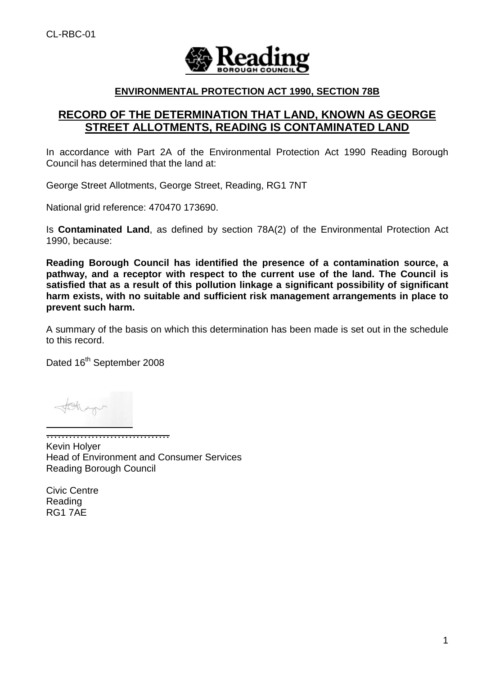

## **ENVIRONMENTAL PROTECTION ACT 1990, SECTION 78B**

# **RECORD OF THE DETERMINATION THAT LAND, KNOWN AS GEORGE STREET ALLOTMENTS, READING IS CONTAMINATED LAND**

In accordance with Part 2A of the Environmental Protection Act 1990 Reading Borough Council has determined that the land at:

George Street Allotments, George Street, Reading, RG1 7NT

National grid reference: 470470 173690.

Is **Contaminated Land**, as defined by section 78A(2) of the Environmental Protection Act 1990, because:

**Reading Borough Council has identified the presence of a contamination source, a pathway, and a receptor with respect to the current use of the land. The Council is satisfied that as a result of this pollution linkage a significant possibility of significant harm exists, with no suitable and sufficient risk management arrangements in place to prevent such harm.**

A summary of the basis on which this determination has been made is set out in the schedule to this record.

Dated 16<sup>th</sup> September 2008

…………………………… Kevin Holyer Head of Environment and Consumer Services Reading Borough Council

Civic Centre Reading RG1 7AE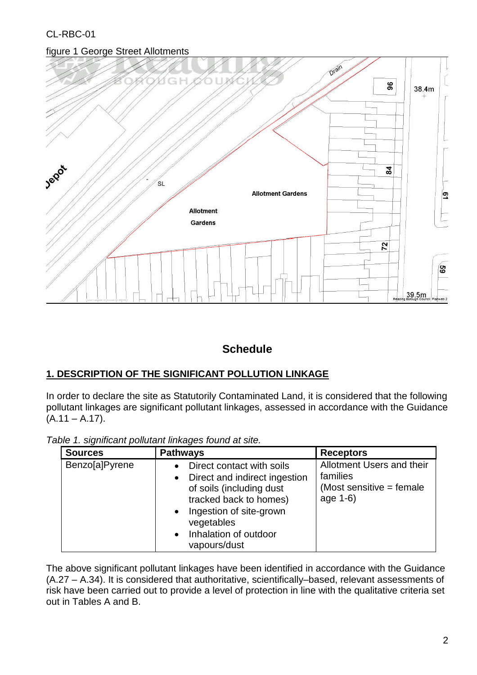# figure 1 George Street Allotments



# **Schedule**

# **1. DESCRIPTION OF THE SIGNIFICANT POLLUTION LINKAGE**

In order to declare the site as Statutorily Contaminated Land, it is considered that the following pollutant linkages are significant pollutant linkages, assessed in accordance with the Guidance  $(A.11 - A.17)$ .

| <b>Sources</b> | <b>Pathways</b>                                                                                                                                                                                                              | <b>Receptors</b>                                                                |
|----------------|------------------------------------------------------------------------------------------------------------------------------------------------------------------------------------------------------------------------------|---------------------------------------------------------------------------------|
| Benzo[a]Pyrene | Direct contact with soils<br>Direct and indirect ingestion<br>$\bullet$<br>of soils (including dust<br>tracked back to homes)<br>Ingestion of site-grown<br>vegetables<br>Inhalation of outdoor<br>$\bullet$<br>vapours/dust | Allotment Users and their<br>families<br>(Most sensitive $=$ female<br>age 1-6) |

*Table 1. significant pollutant linkages found at site.*

The above significant pollutant linkages have been identified in accordance with the Guidance (A.27 –A.34). It is considered that authoritative, scientifically–based, relevant assessments of risk have been carried out to provide a level of protection in line with the qualitative criteria set out in Tables A and B.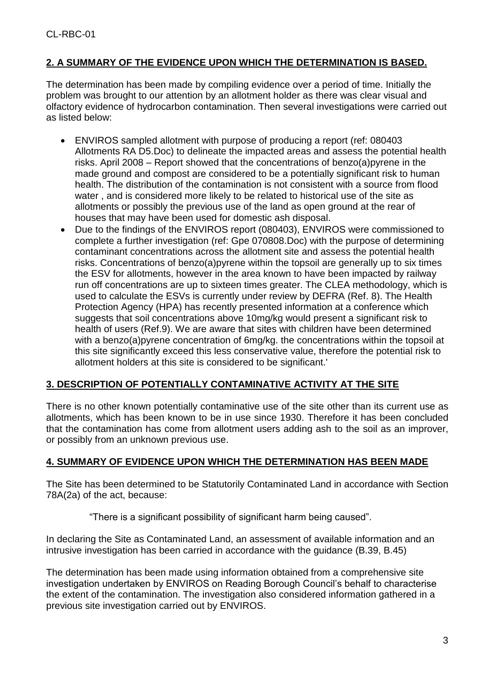# **2. A SUMMARY OF THE EVIDENCE UPON WHICH THE DETERMINATION IS BASED.**

The determination has been made by compiling evidence over a period of time. Initially the problem was brought to our attention by an allotment holder as there was clear visual and olfactory evidence of hydrocarbon contamination. Then several investigations were carried out as listed below:

- ENVIROS sampled allotment with purpose of producing a report (ref: 080403 Allotments RA D5.Doc) to delineate the impacted areas and assess the potential health risks. April 2008 – Report showed that the concentrations of benzo(a)pyrene in the made ground and compost are considered to be a potentially significant risk to human health. The distribution of the contamination is not consistent with a source from flood water , and is considered more likely to be related to historical use of the site as allotments or possibly the previous use of the land as open ground at the rear of houses that may have been used for domestic ash disposal.
- Due to the findings of the ENVIROS report (080403), ENVIROS were commissioned to complete a further investigation (ref: Gpe 070808.Doc) with the purpose of determining contaminant concentrations across the allotment site and assess the potential health risks. Concentrations of benzo(a)pyrene within the topsoil are generally up to six times the ESV for allotments, however in the area known to have been impacted by railway run off concentrations are up to sixteen times greater. The CLEA methodology, which is used to calculate the ESVs is currently under review by DEFRA (Ref. 8). The Health Protection Agency (HPA) has recently presented information at a conference which suggests that soil concentrations above 10mg/kg would present a significant risk to health of users (Ref.9). We are aware that sites with children have been determined with a benzo(a) pyrene concentration of 6mg/kg. the concentrations within the topsoil at this site significantly exceed this less conservative value, therefore the potential risk to allotment holders at this site is considered to be significant.'

## **3. DESCRIPTION OF POTENTIALLY CONTAMINATIVE ACTIVITY AT THE SITE**

There is no other known potentially contaminative use of the site other than its current use as allotments, which has been known to be in use since 1930. Therefore it has been concluded that the contamination has come from allotment users adding ash to the soil as an improver, or possibly from an unknown previous use.

## **4. SUMMARY OF EVIDENCE UPON WHICH THE DETERMINATION HAS BEEN MADE**

The Site has been determined to be Statutorily Contaminated Land in accordance with Section 78A(2a) of the act, because:

"There is a significant possibility of significant harm being caused".

In declaring the Site as Contaminated Land, an assessment of available information and an intrusive investigation has been carried in accordance with the guidance (B.39, B.45)

The determination has been made using information obtained from a comprehensive site investigation undertaken by ENVIROS on Reading Borough Council's behalf to characterise the extent of the contamination. The investigation also considered information gathered in a previous site investigation carried out by ENVIROS.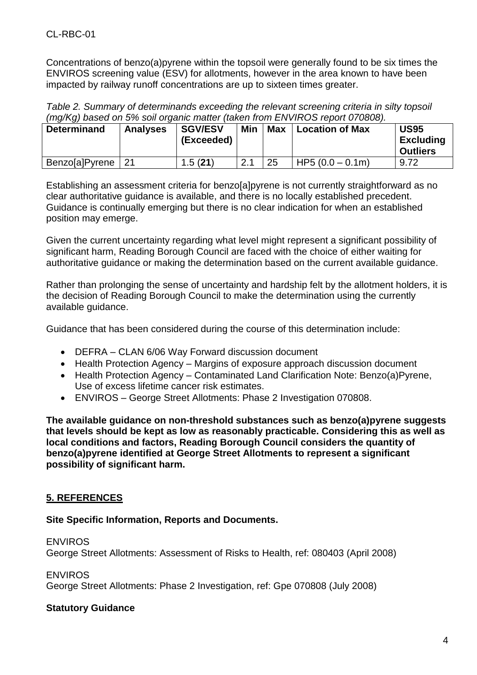Concentrations of benzo(a)pyrene within the topsoil were generally found to be six times the ENVIROS screening value (ESV) for allotments, however in the area known to have been impacted by railway runoff concentrations are up to sixteen times greater.

*Table 2. Summary of determinands exceeding the relevant screening criteria in silty topsoil (mg/Kg) based on 5% soil organic matter (taken from ENVIROS report 070808).*

| <b>Determinand</b> | <b>Analyses</b> | <b>SGV/ESV</b><br>(Exceeded) | Min  | <b>Max</b> | <b>Location of Max</b> | <b>US95</b><br><b>Excluding</b><br><b>Outliers</b> |
|--------------------|-----------------|------------------------------|------|------------|------------------------|----------------------------------------------------|
| Benzo[a]Pyrene     |                 | 1.5(21)                      | ົາ 1 | 25         | HP5 $(0.0 - 0.1m)$     | 9.72                                               |

Establishing an assessment criteria for benzo[a]pyrene is not currently straightforward as no clear authoritative guidance is available, and there is no locally established precedent. Guidance is continually emerging but there is no clear indication for when an established position may emerge.

Given the current uncertainty regarding what level might represent a significant possibility of significant harm, Reading Borough Council are faced with the choice of either waiting for authoritative guidance or making the determination based on the current available guidance.

Rather than prolonging the sense of uncertainty and hardship felt by the allotment holders, it is the decision of Reading Borough Council to make the determination using the currently available guidance.

Guidance that has been considered during the course of this determination include:

- DEFRA –CLAN 6/06 Way Forward discussion document
- Health Protection Agency Margins of exposure approach discussion document
- Health Protection Agency Contaminated Land Clarification Note: Benzo(a)Pyrene, Use of excess lifetime cancer risk estimates.
- ENVIROS –George Street Allotments: Phase 2 Investigation 070808.

**The available guidance on non-threshold substances such as benzo(a)pyrene suggests that levels should be kept as low as reasonably practicable. Considering this as well as local conditions and factors, Reading Borough Council considers the quantity of benzo(a)pyrene identified at George Street Allotments to represent a significant possibility of significant harm.**

# **5. REFERENCES**

## **Site Specific Information, Reports and Documents.**

### **FNVIROS**

George Street Allotments: Assessment of Risks to Health, ref: 080403 (April 2008)

**ENVIROS** 

George Street Allotments: Phase 2 Investigation, ref: Gpe 070808 (July 2008)

## **Statutory Guidance**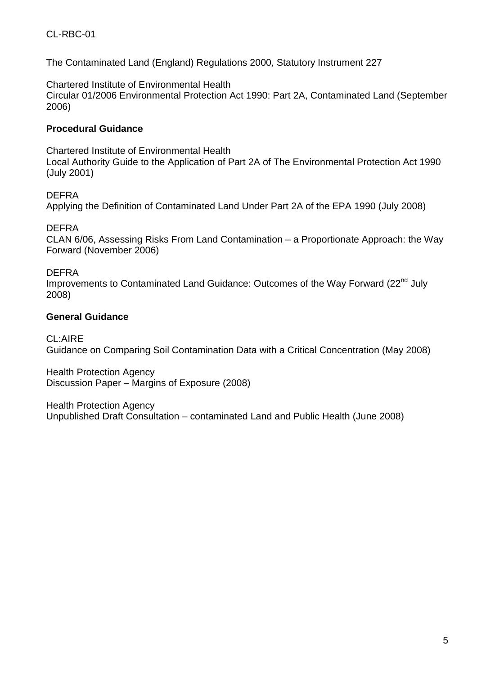The Contaminated Land (England) Regulations 2000, Statutory Instrument 227

Chartered Institute of Environmental Health Circular 01/2006 Environmental Protection Act 1990: Part 2A, Contaminated Land (September 2006)

## **Procedural Guidance**

Chartered Institute of Environmental Health Local Authority Guide to the Application of Part 2A of The Environmental Protection Act 1990 (July 2001)

## DEFRA

Applying the Definition of Contaminated Land Under Part 2A of the EPA 1990 (July 2008)

DEFRA

CLAN  $6/06$ , Assessing Risks From Land Contamination – a Proportionate Approach: the Way Forward (November 2006)

## DEFRA

Improvements to Contaminated Land Guidance: Outcomes of the Way Forward (22<sup>nd</sup> July 2008)

## **General Guidance**

CL:AIRE Guidance on Comparing Soil Contamination Data with a Critical Concentration (May 2008)

Health Protection Agency Discussion Paper – Margins of Exposure (2008)

Health Protection Agency Unpublished Draft Consultation –contaminated Land and Public Health (June 2008)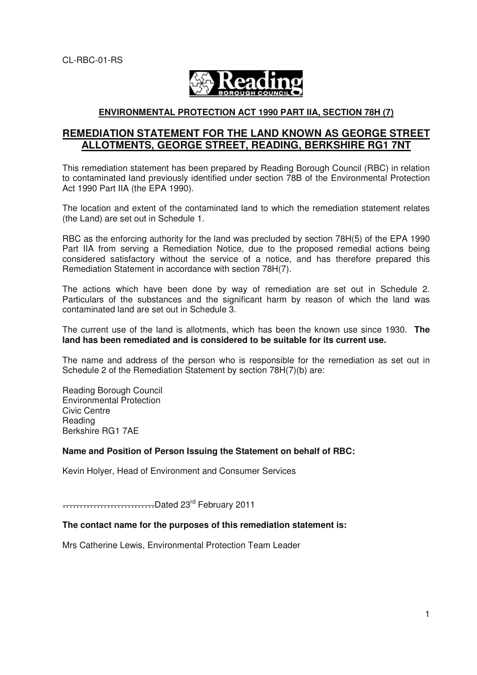

#### **ENVIRONMENTAL PROTECTION ACT 1990 PART IIA, SECTION 78H (7)**

## **REMEDIATION STATEMENT FOR THE LAND KNOWN AS GEORGE STREET ALLOTMENTS, GEORGE STREET, READING, BERKSHIRE RG1 7NT**

This remediation statement has been prepared by Reading Borough Council (RBC) in relation to contaminated land previously identified under section 78B of the Environmental Protection Act 1990 Part IIA (the EPA 1990).

The location and extent of the contaminated land to which the remediation statement relates (the Land) are set out in Schedule 1.

RBC as the enforcing authority for the land was precluded by section 78H(5) of the EPA 1990 Part IIA from serving a Remediation Notice, due to the proposed remedial actions being considered satisfactory without the service of a notice, and has therefore prepared this Remediation Statement in accordance with section 78H(7).

The actions which have been done by way of remediation are set out in Schedule 2. Particulars of the substances and the significant harm by reason of which the land was contaminated land are set out in Schedule 3.

The current use of the land is allotments, which has been the known use since 1930. **The land has been remediated and is considered to be suitable for its current use.** 

The name and address of the person who is responsible for the remediation as set out in Schedule 2 of the Remediation Statement by section 78H(7)(b) are:

Reading Borough Council Environmental Protection Civic Centre Reading Berkshire RG1 7AE

#### **Name and Position of Person Issuing the Statement on behalf of RBC:**

Kevin Holyer, Head of Environment and Consumer Services

………………………Dated 23rd February 2011

#### **The contact name for the purposes of this remediation statement is:**

Mrs Catherine Lewis, Environmental Protection Team Leader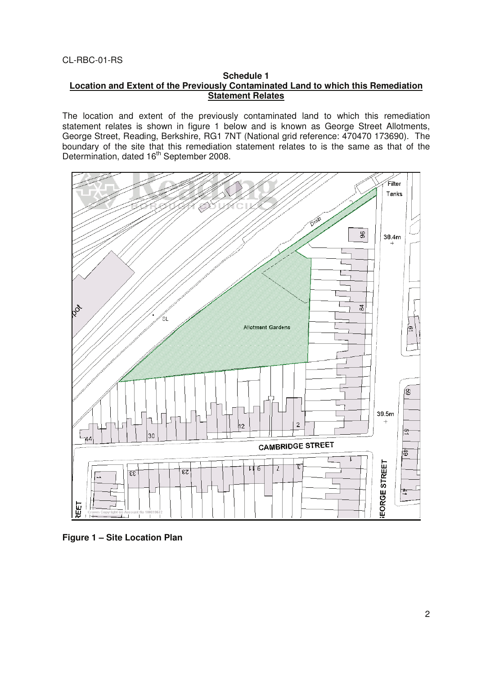#### **Schedule 1 Location and Extent of the Previously Contaminated Land to which this Remediation Statement Relates**

The location and extent of the previously contaminated land to which this remediation statement relates is shown in figure 1 below and is known as George Street Allotments, George Street, Reading, Berkshire, RG1 7NT (National grid reference: 470470 173690). The boundary of the site that this remediation statement relates to is the same as that of the Determination, dated 16<sup>th</sup> September 2008.



**Figure 1 – Site Location Plan**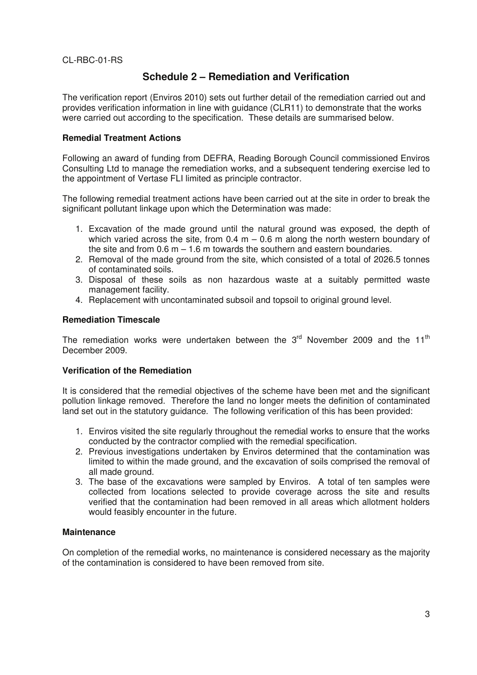# **Schedule 2 – Remediation and Verification**

The verification report (Enviros 2010) sets out further detail of the remediation carried out and provides verification information in line with guidance (CLR11) to demonstrate that the works were carried out according to the specification. These details are summarised below.

### **Remedial Treatment Actions**

Following an award of funding from DEFRA, Reading Borough Council commissioned Enviros Consulting Ltd to manage the remediation works, and a subsequent tendering exercise led to the appointment of Vertase FLI limited as principle contractor.

The following remedial treatment actions have been carried out at the site in order to break the significant pollutant linkage upon which the Determination was made:

- 1. Excavation of the made ground until the natural ground was exposed, the depth of which varied across the site, from  $0.4 \text{ m} - 0.6 \text{ m}$  along the north western boundary of the site and from  $0.6$  m  $-1.6$  m towards the southern and eastern boundaries.
- 2. Removal of the made ground from the site, which consisted of a total of 2026.5 tonnes of contaminated soils.
- 3. Disposal of these soils as non hazardous waste at a suitably permitted waste management facility.
- 4. Replacement with uncontaminated subsoil and topsoil to original ground level.

### **Remediation Timescale**

The remediation works were undertaken between the  $3<sup>rd</sup>$  November 2009 and the 11<sup>th</sup> December 2009.

### **Verification of the Remediation**

It is considered that the remedial objectives of the scheme have been met and the significant pollution linkage removed. Therefore the land no longer meets the definition of contaminated land set out in the statutory guidance. The following verification of this has been provided:

- 1. Enviros visited the site regularly throughout the remedial works to ensure that the works conducted by the contractor complied with the remedial specification.
- 2. Previous investigations undertaken by Enviros determined that the contamination was limited to within the made ground, and the excavation of soils comprised the removal of all made ground.
- 3. The base of the excavations were sampled by Enviros. A total of ten samples were collected from locations selected to provide coverage across the site and results verified that the contamination had been removed in all areas which allotment holders would feasibly encounter in the future.

### **Maintenance**

On completion of the remedial works, no maintenance is considered necessary as the majority of the contamination is considered to have been removed from site.